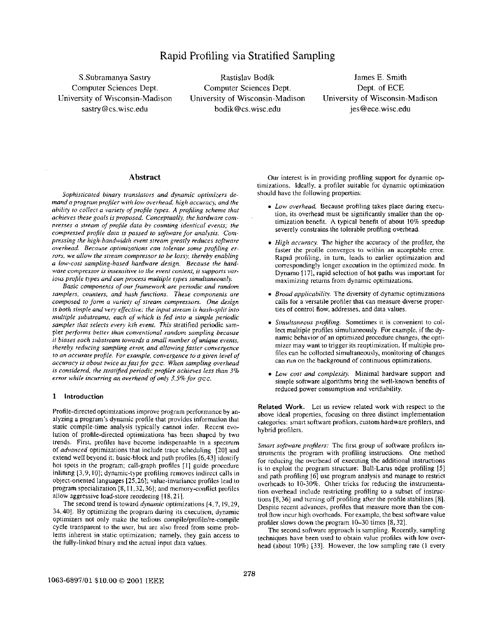# **Rapid Profiling via Stratified Sampling**

S.Subramanya Sastry Computer Sciences Dept. University of Wisconsin-Madison sastry @cs.wisc.edu

Rastislav Bodík Computer Sciences Dept. University of Wisconsin-Madison bodik@cs.wisc.edu

James E. Smith Dept. of ECE University of Wisconsin-Madison jes@ece.wisc.edu

# **Abstract**

Sophisticated binary translators and dynamic optimizers de*mand a program profiler with low overhead, high accuracy and the ability to collect a variety of profile types. A profiling scheme that* achieves these goals is proposed. Conceptually, the hardware com*presses a stream of profile data by counting identical events; the compressed profile data is passed to software for analysis. Compressing the high-bandwidth event stream greatly reduces software overhead. Because optimizations can tolerate some profiling er*rors, we allow the stream compressor to be lossy, thereby enabling *a low-cost sampling-based hardware design. Because the hardware compressor is insensitive to the event content, it supports various profile types and can process multiple types simultaneously.* 

*Basic components of our framework are periodic and random samplers, counters, and hash functions. These components are composed to form a variety of stream compressors. One design is both simple and very effective: the input stream is hash-split into multiple substreams, each of which is fed into a simple periodic*  sampler that selects every kth event. This stratified periodic sampler *performs better than conventional random sampling because it biases each substream towards a small number of unique events, thereby reducing sampling error, and allowing faster convergence to an accurate profile. For example, convergence to a given level of accuracy is about twice as fast for ffcc. When sampling overhead is considered, the stratified periodic profiler achieves less than 3% error while incurring an overhead of only 3.5% for gcc.* 

# **1 Introduction**

Profile-directed optimizations improve program performance by analyzing a program's dynamic profile that provides information that static compile-time analysis typically cannot infer. Recent evolution of profile-directed optimizations has been shaped by two trends. First, profiles have become indispensable in a spectrum of *advanced* optimizations that include trace scheduling [20] and extend well beyond it: basic-block and path profiles [6,43] identify hot spots in the program; call-graph profiles [I] guide procedure inlining [3,9, 10]; dynamic-type profiling removes indirect calls in object-oriented languages [25,26]; value-invariance profiles lead to program specialization [8, I 1,32, 36]; and memory-conflict profiles allow aggressive load-store reordering [ 18,21 ].

The second trend is toward *dynamic* optimizations [4, 7, 19,29, 34, 40]. By optimizing the program during its execution, dynamic optimizers not only make the tedious compile/profile/re-compile cycle transparent to the user, but are also freed from some problems inherent in static optimization; namely, they gain access to the fully-linked binary and the actual input data values.

Our interest is in providing profiling support for dynamic optimizations. Ideally, a profiler suitable for dynamic optimization should have the following properties:

- *Low overhead.* Because profiling takes place during execution, its overhead must be significantly smaller than the optimization benefit. A typical benefit of about 10% speedup severely constrains the tolerable profiling overhead.
- *High accuracy* The higher the accuracy of the profiler, the faster the profile converges to within an acceptable error. Rapid profiling, in turn, leads to earlier optimization and correspondingly longer execution in the optimized mode. In Dynamo [17], rapid selection of hot paths was important for maximizing returns from dynamic optimizations.
- *Broad applicability.* The diversity of dynamic optimizations calls for a versatile profiler that can measure diverse properties of control flow, addresses, and data values.
- *Simultaneous profiling.* Sometimes it is convenient to collect multiple profiles simultaneously. For example, if the dynamic behavior of an optimized procedure changes, the optimizer may want to trigger its reoptimization. If multiple profiles can be collected simultaneously, monitoring of changes can run on the background of continuous optimizations.
- *Low cost and complexity.* Minimal hardware support and simple software algorithms bring the well-known benefits of reduced power consumption and verifiability.

Related Work. Let us review related work with respect to the above ideal properties, focusing on three distinct implementation categories: smart software profilers, custom hardware profilers, and hybrid profilers.

*Smart software profilers:* The first group of software profilers instruments the program with profiling instructions. One method for reducing the overhead of executing the additional instructions is to exploit the program structure: Ball-Larus edge profiling [5] and path profiling [6] use program analysis and manage to restrict overheads to 10-30%. Other tricks for reducing the instrumentation overhead include restricting profiling to a subset of instructions [8, 36] and turning off profiling after the profile stabilizes [8]. Despite recent advances, profiles that measure more than the control flow incur high overheads. For example, the best software value profiler slows down the program 10-30 times [8, 32].

The second software approach is sampling. Recently, sampling techniques have been used to obtain value profiles with low overhead (about 10%) [33]. However, the low sampling rate (1 every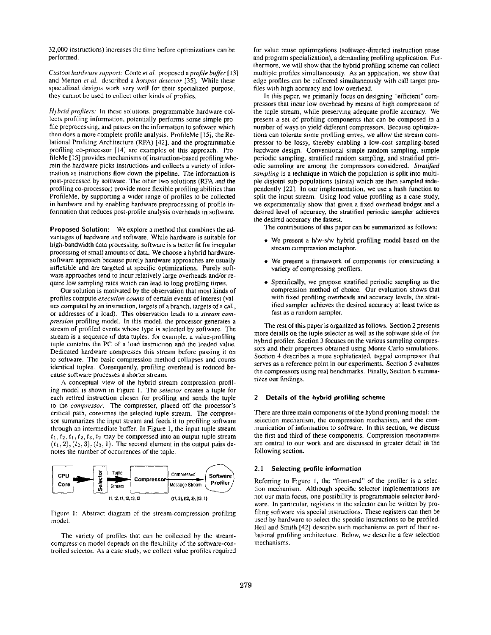32,000 instructions) increases the time before optimizations can be performed.

*Custom hardware support:* Conte *et al.* proposed *a profile buffer* [ 13] and Merten *et al.* described a *hotspot detector* [35]. While these specialized designs work very well for their specialized purpose, they cannot be used to collect other kinds of profiles.

*Hybrid profilers:* In these solutions, programmable hardware collects profiling information, potentially performs some simple profile preprocessing, and passes on the information to software which then does a more complete profile analysis. ProfileMe [15], the Relational Profiling Architecture (RPA) [42], and the programmable profiling co-processor [14] are examples of this approach. ProfileMe [ 15] provides mechanisms of instruction-based profiling wherein the hardware picks instructions and collects a variety of information as instructions flow down the pipeline. The information is post-processed by software. The other two solutions (RPA and the profiling co-processor) provide more flexible profiling abilities than ProfileMe, by supporting a wider range of profiles to be collected in hardware and by enabling hardware preprocessing of profile information that reduces post-profile analysis overheads in software.

**Proposed Solution:** We explore a method that combines the advantages of hardware and software. While hardware is suitable for high-bandwidth data processing, software is a better fit for irregular processing of small amounts of data. We choose a hybrid hardwaresoftware approach because purely hardware approaches are usually inflexible and are targeted at specific optimizations. Purely software approaches tend to incur relatively large overheads and/or require low sampling rates which can lead to long profiling times.

Our solution is motivated by the observation that most kinds of profiles compute *execution counts* of certain events of interest (values computed by an instruction, targets of a branch, targets of a call, or addresses of a load). This observation leads to a *stream compression* profiling model. In this model, the processor generates a stream of profiled events whose type is selected by software. The stream is a sequence of data tuples: for example, a value-profiling tuple contains the PC of a load instruction and the loaded value. Dedicated hardware compresses this stream before passing it on to software. The basic compression method collapses and counts identical tuples. Consequently, profiling overhead is reduced because software processes a shorter stream.

A conceptual view of the hybrid stream compression profiling model is shown in Figure 1. The *selector* creates a tuple for each retired instruction chosen for profiling and sends the tuple to the *compressor.* The compressor, placed off the processor's critical path, consumes the selected tuple stream. The compressor summarizes the input stream and feeds it to profiling software through an intermediate buffer. In Figure 1, the input tuple stream  $t_1, t_2, t_1, t_2, t_3, t_2$  may be compressed into an output tuple stream  $(t_1, 2), (t_2, 3), (t_3, 1)$ . The second element in the output pairs denotes the number of occurrences of the tuple.



Figure 1: Abstract diagram of the stream-compression profiling model.

The variety of profiles that can be collected by the streamcompression model depends on the flexibility of the software-controlled selector. As a case study, we collect value profiles required

for value reuse optimizations (software-directed instruction reuse and program specialization), a demanding profiling application. Furthermore, we will show that the hybrid profiling scheme can collect multiple profiles simultaneously. As an application, we show that edge profiles can be collected simultaneously with call target profiles with high accuracy and low overhead.

In this paper, we primarily focus on designing "efficient" compressors that incur low overhead by means of high compression of the tuple stream, while preserving adequate profile accuracy. We present a set of profiling components that can be composed in a number of ways to yield different compressors. Because optimizations can tolerate some profiling errors, we allow the stream compressor to be lossy, thereby enabling a low-cost sampling-based hardware design. Conventional simple random sampling, simple periodic sampling, stratified random sampling, and stratified periodic sampling are among the compressors considered. *Stratified sampling* is a technique in which the population is split into multiple disjoint sub-populations (strata) which are then sampled independently [22]. In our implementation, we use a hash function to split the input stream. Using load value profiling as a case study, we experimentally show that given a fixed overhead budget and a desired level of accuracy, the stratified periodic sampler achieves the desired accuracy the fastest.

The contributions of this paper can be summarized as follows:

- We present a h/w-s/w hybrid profiling model based on the stream compression metaphor.
- We present a framework of components for constructing a variety of compressing profilers.
- Specifically, we propose stratified periodic sampling as the compression method of choice. Our evaluation shows that with fixed profiling overheads and accuracy levels, the stratified sampler achieves the desired accuracy at least twice as fast as a random sampler.

The rest of this paper is organized as follows. Section 2 presents more details on the tuple selector as well as the software side of the hybrid profiler. Section 3 focuses on the various sampling compressors and their properties obtained using Monte Carlo simulations. Section 4 describes a more sophisticated, tagged compressor that serves as a reference point in our experiments. Section 5 evaluates the compressors using real benchmarks. Finally, Section 6 summarizes our findings.

# **2 Details of the hybrid profiling scheme**

There are three main components of the hybrid profiling model: the selection mechanism, the compression mechanism, and the communication of information to software. In this section, we discuss the first and third of these components. Compression mechanisms are central to our work and are discussed in greater detail in the following section.

## **2.1 Selecting profile information**

Referring to Figure 1, the "front-end" of the profiler is a selection mechanism. Although specific selector implementations are not our main focus, one possibility is programmable selector hardware. In particular, registers in the selector can be written by profiling software via special instructions. These registers can then be used by hardware to select the specific instructions to be profiled. Heil and Smith [42] describe such mechanisms as part of their relational profiling architecture. Below, we describe a few selection mechanisms.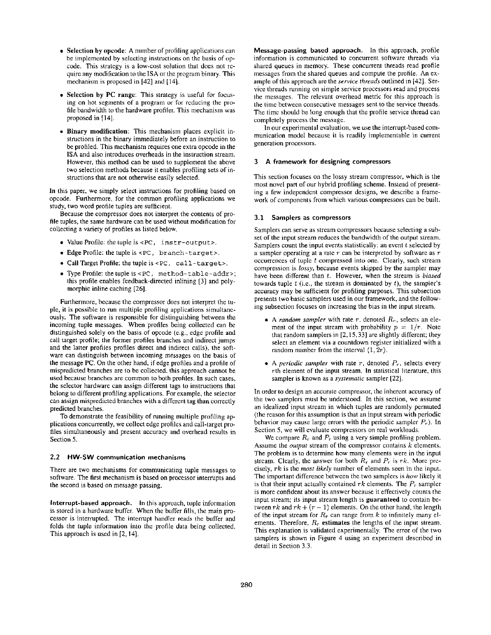- Selection by opcode: A number of profiling applications can be implemented by selecting instructions on the basis of opcode. This strategy is a low-cost solution that does not require any modification to the ISA or the program binary. This mechanism is proposed in [42] and [14].
- Selection by PC **range:** This strategy is useful for focusing on hot segments of a program or for reducing the profile bandwidth to the hardware profiler. This mechanism was proposed in [14].
- Binary modification: This mechanism places explicit instructions in the binary immediately before an instruction to be profiled. This mechanism requires one extra opcode in the ISA and also introduces overheads in the instruction stream. However, this method can be used to supplement the above two selection methods because it enables profiling sets of instructions that are not otherwise easily selected.

In this paper, we simply select instructions for profiling based on opcode. Furthermore, for the common profiling applications we study, two word profile tuples are sufficient.

Because the compressor does not interpret the contents of profile tuples, the same hardware can be used without modification for collecting a variety of profiles as listed below.

- Value Profile: the tuple is <PC, instr-output>.
- Edge Profile: the tuple is <PC, branch-target>.
- Call Target Profile: the tuple is <PC, call-target>.
- Type Profile: the tuple is <PC, method-table-addr>; this profile enables feedback-directed inlining [3] and polymorphic inline caching [26].

Furthermore, because the compressor does not interpret the tupie, it is possible to run multiple profiling applications simultaneously. The software is responsible for distinguishing between the incoming tuple messages. When profiles being collected can be distinguished solely on the basis of opcode (e.g., edge profile and call target profile; the former profiles branches and indirect jumps and the latter profiles profiles direct and indirect calls), the software can distinguish between incoming messages on the basis of the message PC. On the other hand, if edge profiles and a profile of mispredicted branches are to be collected, this approach cannot be used because branches are common to both profiles. In such cases, the selector hardware can assign different tags to instructions that belong to different profiling applications. For example, the selector can assign mispredicted branches with a different tag than correctly predicted branches.

To demonstrate the feasibility of running multiple profiling applications concurrently, we collect edge profiles and call-target profiles simultaneously and present accuracy and overhead results in Section 5.

#### **2.2 HW-SW communication mechanisms**

There are two mechanisms for communicating tuple messages to software. The first mechanism is based on processor interrupts and the second is based on message passing.

**Interrupt-based approach.** In this approach, tuple information is stored in a hardware buffer. When the buffer fills, the main processor is interrupted. The interrupt handler reads the buffer and folds the tuple information into the profile data being collected. This approach is used in [2, 14].

**Message-passing based approach.** In this approach, profile information is communicated to concurrent software threads via shared queues in memory. These concurrent threads read profile messages from the shared queues and compute the profile. An example of this approach are the *service threads* outlined in [42]. Service threads running on simple service processors read and process the messages. The relevant overhead metric for this approach is the time between consecutive messages sent to the service threads. The time should be long enough that the profile service thread can completely process the message.

In our experimental evaluation, we use the interrupt-based communication model because it is readily implementable in current generation processors.

#### 3 A **framework for designing compressors**

This section focuses on the lossy stream compressor, which is the most novel part of our hybrid profiling scheme. Instead of presenting a few independent compressor designs, we describe a framework of components from which various compressors can be built.

#### **3.1 Samplers as compressors**

Samplers can serve as stream compressors because selecting a subset of the input stream reduces the bandwidth of the output stream. Samplers count the input events statistically: an event  $t$  selected by a sampler operating at a rate  $r$  can be interpreted by software as  $r$ occurrences of tuple t compressed into one. Clearly, such stream compression is *lossy,* because events skipped by the sampler may have been different than t. However, when the stream is *biased* towards tuple  $t$  (i.e., the stream is dominated by  $t$ ), the sampler's accuracy may be sufficient for profiling purposes. This subsection presents two basic samplers used in our framework, and the following subsection focuses on increasing the bias in the input stream.

- A *random sampler* with rate r, denoted  $R<sub>r</sub>$ , selects an element of the input stream with probability  $p = 1/r$ . Note that random samplers in [2,15, 33] are slightly different; they select an element via a countdown register initialized with a random number from the interval  $\langle 1, 2r \rangle$ .
- $\bullet$  A periodic sampler with rate r, denoted  $P_r$ , selects every rth element of the input stream. In statistical literature, this sampler is known as a *systematic* sampler [22].

In order to design an accurate compressor, the inherent accuracy of the two samplers must be understood. In this section, we assume an idealized input stream in which tuples are randomly permuted (the reason for this assumption is that an input stream with periodic behavior may cause large errors with the periodic sampler  $P_r$ ). In Section 5, we will evaluate compressors on real workloads.

We compare  $R_r$  and  $P_r$  using a very simple profiling problem. Assume the *output* stream of the compressor contains k elements. The problem is to determine how many elements were in the input stream. Clearly, the answer for both  $R_r$  and  $P_r$  is  $rk$ . More precisely, *rk* is the *most likely* number of elements seen in the input. The important difference between the two samplers is *how* likely it is that their input actually contained  $rk$  elements. The  $P_r$  sampler is more confident about its answer because it effectively counts the input stream; its input stream length is guaranteed to contain between  $rk$  and  $rk + (r - 1)$  elements. On the other hand, the length of the input stream for  $R_r$  can range from k to infinitely many elements. Therefore,  $R_r$  estimates the lengths of the input stream. This explanation is validated experimentally. The error of the two samplers is shown in Figure 4 using an experiment described in detail in Section 3.3.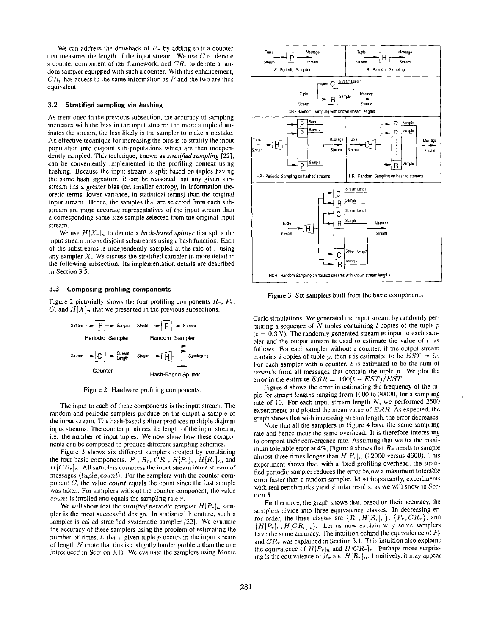We can address the drawback of  $R_r$  by adding to it a counter that measures the length of the input stream. We use  $C$  to denote a counter component of our framework, and *CR~* to denote a random sampler equipped with such a counter. With this enhancement,  $CR<sub>r</sub>$  has access to the same information as  $P$  and the two are thus equivalent.

## **3.2 Stratified sampling via hashing**

As mentioned in the previous subsection, the accuracy of sampling increases with the bias in the input stream: the more a tuple dominates the stream, the less likely is the sampler to make a mistake. An effective technique for increasing the bias is to stratify the input population into disjoint sub-populations which are then independently sampled. This technique, known as *stratified sampling* [22], can be conveniently implemented in the profiling context using hashing. Because the input stream is split based on tuples having the same hash signature, it can be reasoned that any given substream has a greater bias (or, smaller entropy, in information theoretic terms; lower variance, in statistical terms) than the original input stream. Hence, the samples that are selected from each substream are more accurate representatives of the input stream than a corresponding same-size sample selected from the original input stream.

We use  $H[X_r]_n$  to denote a *hash-based splitter* that splits the input stream into n disjoint substreams using a hash function. Each of the substreams is independently sampled at the rate of  $r$  using any sampler  $X$ . We discuss the stratified sampler in more detail in the following subsection. Its implementation details are described in Section 3.5.

#### **3.3 Composing profiling components**

Figure 2 pictorially shows the four profiling components  $R_r$ ,  $P_r$ , C, and  $H[X]_n$  that we presented in the previous subsections.



Figure 2: Hardware profiling components.

The input to each of these components is the input stream. The random and periodic samplers produce on the output a sample of the input stream. The hash-based splitter produces multiple disjoint input streams. The counter produces the length of the input stream, i.e. the number of input tuples. We now show how these components can be composed to produce different sampling schemes.

Figure 3 shows six different samplers created by combining the four basic components:  $P_r$ ,  $R_r$ ,  $CR_r$ ,  $H[P_r]_n$ ,  $H[R_r]_n$ , and  $H[CR_r]_n$ . All samplers compress the input stream into a stream of messages *(tuple, count).* For the samplers with the counter component C, the value *count* equals the count since the last sample was taken. For samplers without the counter component, the value *count* is implied and equals the sampling rate r.

We will show that the *stratified periodic sampler*  $H[P_r]_n$  sampler is the most successful design. In statistical literature, such a sampler is called stratified systematic sampler [22]. We evaluate the accuracy of these samplers using the problem of estimating the number of times,  $t$ , that a given tuple  $p$  occurs in the input stream of length  $N$  (note that this is a slightly harder problem than the one introduced in Section 3.1). We evaluate the samplers using Monte



Figure 3: Six samplers built from the basic components.

Carlo simulations. We generated the input stream by randomly permuting a sequence of  $N$  tuples containing  $t$  copies of the tuple  $p$  $(t = 0.3N)$ . The randomly generated stream is input to each sampler and the output stream is used to estimate the value of  $t$ , as follows. For each sampler without a counter, if the output stream contains i copies of tuple p, then t is estimated to be  $\overrightarrow{EST} = ir$ . For each sampler with a counter,  $t$  is estimated to be the sum of *count's* from all messages that contain the tuple p. We plot the error in the estimate  $\overline{ERR} = |100(t - EST)/EST|$ .

Figure 4 shows the error in estimating the frequency of the tupie for stream lengths ranging from 1000 to 20000, for a sampling rate of 10. For each input stream length  $N$ , we performed 2500 experiments and plotted the mean value of *ERR.* As expected, the graph shows that with increasing stream length, the error decreases.

Note that all the samplers in Figure 4 have the same sampling rate and hence incur the same overhead. It is therefore interesting to compare their convergence rate. Assuming that we fix the maximum tolerable error at 4%, Figure 4 shows that  $R_r$  needs to sample almost three times longer than  $H[P_r]_n$  (12000 versus 4600). This experiment shows that, with a fixed profiling overhead, the stratified periodic sampler reduces the error below a maximum tolerable error faster than a random sampler. Most importantly, experiments with real benchmarks yield similar results, as we will show in Section 5.

Furthermore, the graph shows that, based on their accuracy, the samplers divide into three equivalence classes. In decreasing error order, the three classes are  $\{R_r, H[R_r]_n\}$ ,  $\{P_r, CR_r\}$ , and  ${H[P_r]_n, H[CR_r]_n}.$  Let us now explain why some samplers have the same accuracy. The intuition behind the equivalence of  $P_r$ and  $CR<sub>r</sub>$  was explained in Section 3.1. This intuition also explains the equivalence of  $H[P_r]_n$  and  $H[CR_r]_n$ . Perhaps more surprising is the equivalence of  $R_r$  and  $H[R_r]_n$ . Intuitively, it may appear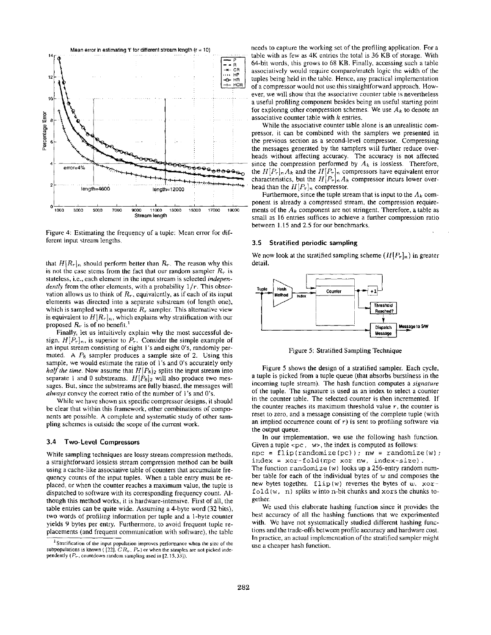

Figure 4: Estimating the frequency of a tuple: Mean error for different input stream lengths.

that  $H[R_r]_n$  should perform better than  $R_r$ . The reason why this is not the case stems from the fact that our random sampler  $R_r$  is stateless, i.e., each element in the input stream is selected *independently* from the other elements, with a probability *1/r.* This observation allows us to think of  $R_r$ , equivalently, as if each of its input elements was directed into a separate substream (of length one), which is sampled with a separate  $R_r$  sampler. This alternative view is equivalent to  $H[R_r]_n$ , which explains why stratification with our proposed  $R_r$  is of no benefit.<sup>1</sup>

Finally, let us intuitively explain why the most successful design,  $H[P_r]_n$ , is superior to  $P_r$ . Consider the simple example of an input stream consisting of eight 1 's and eight O's, randomly permuted. A  $P_8$  sampler produces a sample size of 2. Using this sample, we would estimate the ratio of l's and O's accurately only *half the time.* Now assume that  $H[P_8]_2$  splits the input stream into separate 1 and 0 substreams.  $H[P_8]_2$  will also produce two messages. But, since the substreams are fully biased, the messages will *always* convey the correct ratio of the number of 1 's and O's.

While we have shown six specific compressor designs, it should be clear that within this framework, other combinations of components are possible. A complete and systematic study of other sampiing schemes is outside the scope of the current work.

# **3.4 Two-Level Compressors**

While sampling techniques are Iossy stream compression methods, a straightforward lossless stream compression method can be built using a cache-like associative table of counters that accumulate frequency counts of the input tuples. When a table entry must be replaced, or when the counter reaches a maximum value, the tuple is dispatched to software with its corresponding frequency count. Although this method works, it is hardware-intensive. First of all, the table entries can be quite wide. Assuming a 4-byte word (32 bits), two words of profiling information per tuple and a 1-byte counter yields 9 bytes per entry. Furthermore, to avoid frequent tuple replacements (and frequent communication with software), the table needs to capture the working set of the profiling application. For a table with as few as 4K entries the total is 36 KB of storage. With 64-bit words, this grows to 68 KB. Finally, accessing such a table associatively would require compare/match logic the width of the tuples being held in the table. Hence, any practical implementation of a compressor would not use this straightforward approach. However, we will show that the associative counter table is nevertheless a useful profiling component besides being an useful starting point for exploring other compression schemes. We use  $A_k$  to denote an associative counter table with k entries.

While the associative counter table alone is an unrealistic compressor, it can be combined with the samplers we presented in the previous section as a second-level compressor. Compressing the messages generated by the samplers will further reduce overheads without affecting accuracy. The accuracy is not affected since the compression performed by  $A_k$  is lossless. Therefore, the  $H[P_r]_nA_k$  and the  $H[P_r]_n$  compressors have equivalent error characteristics, but the  $H[P_r]_n A_k$  compressor incurs lower overhead than the  $H[P_r]_n$  compressor.

Furthermore, since the tuple stream that is input to the  $A_k$  component is already a compressed stream, the compression requirements of the  $A_k$  component are not stringent. Therefore, a table as small as 16 entries suffices to achieve a further compression ratio between 1.15 and 2.5 for our benchmarks.

#### **3.5 Stratified periodic sampling**

We now look at the stratified sampling scheme  $(H[P_r]_n)$  in greater detail.



Figure 5: Stratified Sampling Technique

Figure 5 shows the design of a stratified sampler. Each cycle, a tuple is picked from a tuple queue (that absorbs burstiness in the incoming tuple stream). The hash function computes a *signature*  of the tuple. The signature is used as an index to select a counter in the counter table. The selected counter is then incremented. If the counter reaches its maximum threshold value  $r$ , the counter is reset to zero, and a message consisting of the complete tuple (with an implied occurrence count of  $r$ ) is sent to profiling software via the output queue.

In our implementation, we use the following hash function. Given a tuple  $, w>, the index is computed as follows:$  $npc = flip(randomic (pc))$ ;  $nw = randomize(w)$ ; index = xor-fold(npc xor nw, index-size). The function randomize (w) looks up a 256-entry random number table for each of the individual bytes of  $w$  and composes the new bytes together.  $f\text{lip}(w)$  reverses the bytes of w. xorfold (w, n) splits w into n-bit chunks and xors the chunks together.

We used this elaborate hashing function since it provides the best accuracy of all the hashing functions that we experimented with. We have not systematically studied different hashing functions and the trade-offs between profile accuracy and hardware cost. In practice, an actual implementation of the stratified sampler might use a cheaper hash function.

<sup>&</sup>lt;sup>1</sup> Stratification of the input population improves performance when the size of the subpopulations is known ( [22],  $CR_r$ ,  $P_r$ ) or when the samples are not picked independently  $(P_r, \text{countdown random sampling used in } [2, 15, 33])$ ,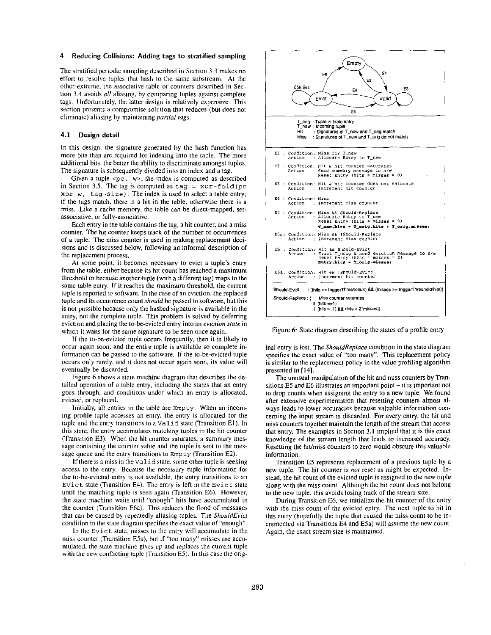#### 4 **Reducing Collisions: Adding tags to stratified** sampling

The stratified periodic sampling described in Section 3.3 makes no effort to resolve tuples that hash to the same substream. At the other extreme, the associative table of counters described in Section 3.4 avoids *all* aliasing, by comparing tuples against complete tags. Unfortunately, the latter design is relatively expensive. This section presents a compromise solution that reduces (but does not eliminate) aliasing by maintaining *partial tags.* 

#### **4.1 Design detail**

In this design, the signature generated by the hash function has more bits than are required for indexing into the table. The more additional bits, the better the ability to discriminate amongst tuples. The signature is subsequently divided into an index and a tag.

Given a tuple  $<$ pc, w>, the index is computed as described in Section 3.5. The tag is computed as  $tag = xor-fold(pc)$  $x$ or w, tag-size). The index is used to select a table entry; if the tags match, there is a hit in the table, otherwise there is a miss. Like a cache memory, the table can be direct-mapped, setassociative, or fully-associative.

Each entry in the table contains the tag, a bit counter, and a miss counter. The hit counter keeps track of the number of occurrences of a tuple. The miss counter is used in making replacement decisions and is discussed below, following an informal description of the replacement process.

At some point, it becomes necessary to evict a tuple's entry from the table, either because its hit count has reached a maximum threshold or because another tuple (with a different tag) maps to the same table entry. If it reaches the maximum threshold, the current tuple is reported to software. In the case of an eviction, the replaced tuple and its occurrence count *should* be passed to software, but this is not possible because only the hashed signature is available in the entry, not the complete tuple. This problem is solved by deferring eviction and placing the to-be-evicted entry into an *eviction state* in which it waits for the same signature to be seen once again.

If the to-be-evicted tuple occurs frequently, then it is likely to occur again soon, and the entire tuple is available so complete information can be passed to the software. If the to-be-evicted tuple occurs only rarely, and it does not occur again soon, its value will eventually be discarded.

Figure 6 shows a state machine diagram that describes the detailed operation of a table entry, including the states that an entry goes through, and conditions under which an entry is allocated, evicted, or replaced.

Initially, all entries in the table are Empty. When an incoming profile tuple accesses an entry, the entry is allocated for the tuple and the entry transitions to a Valid state (Transition El). In this state, the entry accumulates matching tuples in the hit counter (Transition E3). When the hit counter saturates, a summary message containing the counter value and the tuple is sent to the message queue and the entry transitions to Empty (Transition E2).

If there is a miss in the Valid state, some other tuple is seeking access to the entry. Because the necessary tuple information for the to-be-evicted entry is not available, the entry transitions to an Evict state (Transition E4). The entry is left in the Evict state until the matching tuple is seen again (Transition E6). However, the state machine waits until "enough" hits have accumulated in the counter (Transition E6a). This reduces the flood of messages that can be caused by repeatedly aliasing tuples. The *ShouldEvict*  condition in the state diagram specifies the exact value of "enough".

In the Evict state, misses to the entry will accumulate in the miss counter (Transition E5a), but if "too many" misses are accumulated, the state machine gives up and replaces the current tuple with the new conflicting tuple (Transition E5). In this case the orig-



Figure 6: State diagram describing the states of a profile entry

inal entry is lost. The *ShouldReplace* condition in the state diagram specifies the exact value of "too many". This replacement policy is similar to the replacement policy in the value profiling algorithm presented in [14].

The unusual manipulation of the hit and miss counters by Transitions  $E_5$  and  $E_6$  illustrates an important point  $-$  it is important not to drop counts when assigning the entry to a new tuple. We found after extensive experimentation that resetting counters almost always leads to lower accuracies because valuable information concerning the input stream is discarded. For every entry, the hit and miss counters together maintain the length of the stream that access that entry. The examples in Section 3.1 implied that it is this exact knowledge of the stream length that leads to increased accuracy. Resetting the hit/miss counters to zero would obscure this valuable information.

Transition E5 represents replacement of a previous tuple by a new tuple. The hit counter is *not* reset as might be expected. Instead, the hit count of the evicted tuple is assigned to the new tuple along with the miss count. Although the hit count does not belong to the new tuple, this avoids losing track of the stream size.

During Transition E6, we initialize the hit counter of the entry with the miss count of the evicted entry. The next tuple to hit in this entry (hopefully the tuple that caused the miss count to be incremented via Transitions E4 and E5a) will assume the new count. Again, the exact stream size is maintained.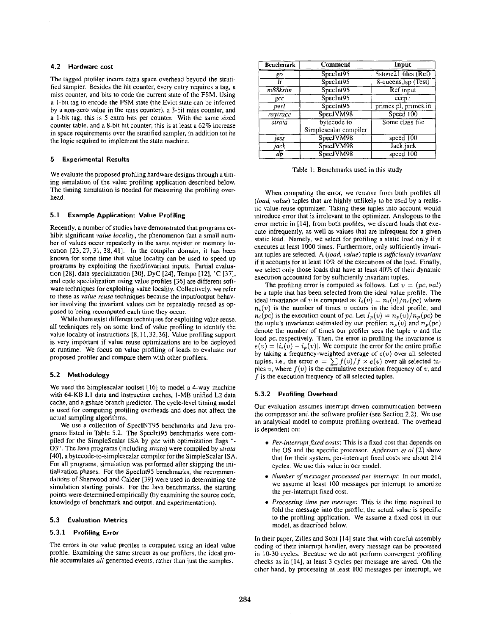# **Benchmark Comment Input 4.2 Hardware cost**

The tagged profiler incurs extra space overhead beyond the stratified sampler. Besides the hit counter, every entry requires a tag, a miss counter, and bits to code the current state of the FSM. Using a 1-bit tag to encode the FSM state (the Evict state can be inferred by a non-zero value in the miss counter), a 3-bit miss counter, and a 1-bit tag, this is 5 extra bits per counter. With the same sized counter table, and a 8-bit hit counter, this is at least a 62% increase in space requirements over the stratified sampler, in addition tot he the logic required to implement the state machine.

# **5 Experimental Results**

We evaluate the proposed profiling hardware designs through a timing simulation of the value profiling application described below. The timing simulation is needed for measuring the profiling overhead.

# **5.1 Example Application: Value Profiling**

Recently, a number of studies have demonstrated that programs exhibit significant *value locality*, the phenomenon that a small number of values occur repeatedly in the same register or memory location [23, 27, 31, 38, 41]. In the compiler domain, it has been known for some time that value locality can be used to speed up programs by exploiting the fixed/invariant inputs. Partial evaluation [28], data specialization [30], DyC [24], Tempo [12], 'C [37], and code specialization using value profiles [36] are different software techniques for exploiting value locality. Collectively, we **refer**  to these as *value reuse* techniques because the input/output behavior involving the invariant values can be repeatedly reused as opposed to being recomputed each time they occur.

While there exist different techniques for exploiting value reuse, all techniques rely on some kind of value profiling to identify the value locality of instructions [8, 11,32, 36]. Value profiling support is very important if value reuse optimizations are to be deployed at runtime. We focus on value profiling of loads to evaluate our proposed profiler and compare them with other profilers.

# **5.2 Methodology**

We used the Simplescalar toolset [16] to model a 4-way machine with 64-KB L1 data and instruction caches, I-MB unified L2 data cache, and a gshare branch predictor. The cycle-level timing model is used for computing profiling overheads and does not affect the actual sampling algorithms.

We use a collection of SpeclNT95 benchmarks and Java programs listed in Table 5.2. The Speclnt95 benchmarks were compiled for the SimpleScalar ISA by *gcc* with optimization flags "- O3". The Java programs (including *strata)* were compiled by *strata*  [40], a bytecode-to-simplescalar compiler for the SimpleScalar ISA. For all programs, simulation was performed after skipping the initialization phases. For the Speclnt95 benchmarks, the recommendations of Sherwood and Calder [39] were used in determining the simulation starting points. For the Java benchmarks, the starting points were determined empirically (by examining the source code, knowledge of benchmark and output, and experimentation).

#### **5.3 Evaluation Metrics**

# **5.3.1 Profiling Error**

The errors in our value profiles is computed using an ideal value profile. Examining the same stream as our profilers, the ideal profile accumulates *all* generated events, rather than just the samples.

| Benchmark           | <b>Comment</b>        | Input                      |
|---------------------|-----------------------|----------------------------|
| ŖΟ                  | SpecIn 195            | $5$ stone $21$ files (Ref) |
| li                  | SpecInt95             | 8-queens, Isp (Test)       |
| $m88$ <i>ksim</i>   | SpecInt95             | Ref input                  |
| $_{\mathcal{R}}$ CC | SpecInt95             | cccp.i                     |
| perl                | SpecInt95             | primes.pl, primes.in       |
| raytrace            | SpecJVM98             | Speed 100                  |
| strata              | bytecode to           | Some class file            |
|                     | Simplescalar compiler |                            |
| jess                | SpecJVM98             | speed 100                  |
| jack                | SpecJVM98             | Jack.jack                  |
| db                  | SpecJVM98             | speed 100                  |

Table 1: Benchmarks used in this study

When computing the error, we remove from both profiles all *(load, value)* tuples that are highly unlikely to be used by a realistic value-reuse optimizer. Taking these tuples into account would introduce error that is irrelevant to the optimizer. Analogous to the error metric in [14], from both profiles, we discard loads that execute infrequently, as well as values that are infrequent for a given static load. Namely, we select for profiling a static load only if it executes at least 1000 times. Furthermore, only sufficiently invariant tuples are selected. A *(load, value)* tuple is *sufficiently invariant*  if it accounts for at least 10% of the executions of the load. Finally, we select only those loads that have at least 40% of their dynamic execution accounted for by sufficiently invariant tuples.

The profiling error is computed as follows. Let  $v = (pc, val)$ be a tuple that has been selected from the ideal value profile. The ideal invariance of v is computed as  $I_i(v) = n_i(v)/n_i(pc)$  where  $n<sub>i</sub>(v)$  is the number of times v occurs in the ideal profile, and  $n_i (pc)$  is the execution count of *pc*. Let  $I_n(v) = n_p(v)/n_p(pc)$  be the tuple's invariance estimated by our profiler;  $n_p(v)$  and  $n_p(pc)$ denote the number of times our profiler sees the tuple  $v$  and the load *pc,* respectively. Then, the error in profiling the invariance is  $e(v) = |i_i(v) - i_p(v)|$ . We compute the error for the entire profile by taking a frequency-weighted average of  $e(v)$  over all selected tuples, i.e., the error  $e = \sum f(v)/f \times e(v)$  over all selected tuples v, where  $f(v)$  is the cumulative execution frequency of v, and  $f$  is the execution frequency of all selected tuples.

# **5.3.2 Profiling Overhead**

Our evaluation assumes interrupt-driven communication between the compressor and the software profiler (see Section 2.2). We use an analytical model to compute profiling overhead. The overhead is dependent on:

- *Per-interrupt fixed costs*: This is a fixed cost that depends on the OS and the specific processor. Anderson *et al* [2] show that for their system, per-interrupt fixed costs are about 214 cycles. We use this value in our model.
- *Number of messages processed per interrupt:* In our model, we assume at least 100 messages per interrupt to amortize the per-interrupt fixed cost.
- *Processing time per message:* This is the time required to fold the message into the profile; the actual value is specific to the profiling application. We assume a fixed cost in our model, as described below.

In their paper, Zilles and Sobi [14] state that with careful assembly coding of their interrupt handler, every message can be processed in 10-30 cycles. Because we do not perform convergent profiling checks as in [14], at least 3 cycles per message are saved. On the other hand, by processing at least 100 messages per interrupt, we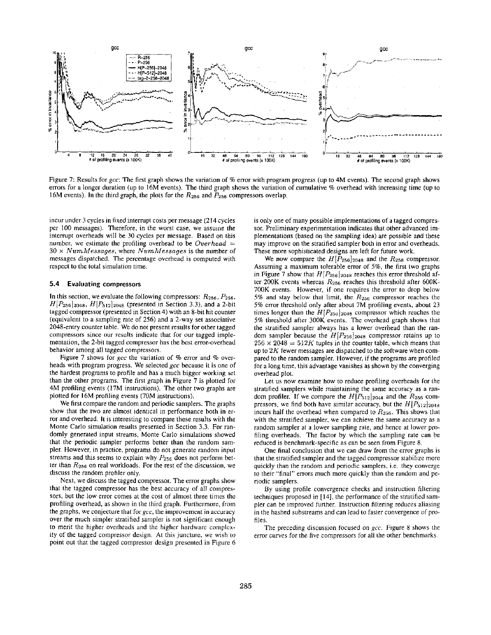

Figure 7: Results for *gcc:* The first graph shows the variation of % error with program progress (up to 4M events). The second graph shows errors for a longer duration (up to 16M events). The third graph shows the variation of cumulative % overhead with increasing time (up to 16M events). In the third graph, the plots for the  $R_{256}$  and  $P_{256}$  compressors overlap.

incur under 3 cycles in fixed interrupt costs per message (214 cycles per 100 messages). Therefore, in the worst case, we assume the interrupt overheads will be 30 cycles per message. Based on this number, we estimate the profiling overhead to be *Overhead =*  30 × *NuraMessages,* where *NumMessages* is the number of messages dispatched. The percentage overhead is computed with respect to the total simulation time.

### **5.4 Evaluating compressors**

In this section, we evaluate the following compressors:  $R_{256}$ ,  $P_{256}$ ,  $H[P_{256}]_{2048}$ ,  $H[P_{512}]_{2048}$  (presented in Section 3.3), and a 2-bit tagged compressor (presented in Section 4) with an 8-bit hit counter (equivalent to a sampling rate of 256) and a 2-way set associative 2048-entry counter table. We do not present results for other tagged compressors since our results indicate that for our tagged implementation, the 2-bit tagged compressor has the best error-overhead behavior among all tagged compressors.

Figure 7 shows for *gcc* the variation of % error and % overheads with program progress. We selected *gcc* because it is one of the hardest programs to profile and has a much bigger working set than the other programs. The first graph in Figure 7 is plotted for 4M profiling events (17M instructions). The other two graphs are plotted for 16M profiling events (70M instructions).

We first compare the random and periodic samplers. The graphs show that the two are almost identical in performance both in error and overhead. It is interesting to compare these results with the Monte Carlo simulation results presented in Section 3.3. For randomly generated input streams, Monte Carlo simulations showed that the periodic sampler performs better than the random sampler. However, in practice, programs do not generate random input streams and this seems to explain why  $P_{256}$  does not perform better than  $R_{256}$  on real workloads. For the rest of the discussion, we discuss the random profiler only.

Next, we discuss the tagged compressor. The error graphs show that the tagged compressor has the best accuracy of all compressors, but the low error comes at the cost of almost three times the profiling overhead, as shown in the third graph. Furthermore, from the graphs, we conjecture that for *gcc,* the improvement in accuracy over the much simpler stratified sampler is not significant enough to merit the higher overheads and the higher hardware complexity of the tagged compressor design. At this juncture, we wish to point out that the tagged compressor design presented in Figure 6 is only one of many possible implementations of a tagged compressor. Preliminary experimentation indicates that other advanced implementations (based on the sampling idea) are possible and these may improve on the stratified sampler both in error and overheads. These more sophisticated designs are left for future work.

We now compare the  $H[P_{256}]_{2048}$  and the  $R_{256}$  compressor. Assuming a maximum tolerable error of 5%, the first two graphs in Figure 7 show that  $H[P_{256}]_{2048}$  reaches this error threshold after 200K events whereas  $R_{256}$  reaches this threshold after 600K-700K events. However, if one requires the error to drop below 5% and stay below that limit, the  $R_{256}$  compressor reaches the 5% error threshold only after about 7M profiling events, about 23 times longer than the  $H[P_{256}]_{2048}$  compressor which reaches the 5% threshold after 300K events. The overhead graph shows that the stratified sampler always has a lower overhead than the random sampler because the  $H[P<sub>256</sub>]_{2048}$  compressor retains up to  $256 \times 2048 = 512K$  tuples in the counter table, which means that up to  $2K$  fewer messages are dispatched to the software when compared to the random sampler. However, if the programs are profiled for a long time, this advantage vanishes as shown by the converging overhead plot.

Let us now examine how to reduce profiling overheads for the stratified samplers while maintaining the same accuracy as a random profiler. If we compare the  $H[P_{512}]_{2048}$  and the  $R_{256}$  compressors, we find both have similar accuracy, but the  $H[P_{512}]_{2048}$ incurs half the overhead when compared to  $R_{256}$ . This shows that with the stratified sampler, we can achieve the same accuracy as a random sampler at a lower sampling rate, and hence at lower profiling overheads. The factor by which the sampling rate can be reduced is benchmark-specific as can be seen from Figure 8.

One final conclusion that we can draw from the error graphs is that the stratified sampler and the tagged compressor stabilize more quickly than the random and periodic samplers, i.e. they converge to their "final" errors much more quickly than the random and periodic samplers.

By using profile convergence checks and instruction filtering techniques proposed in [14], the performance of the stratified sampler can be improved further. Instruction filtering reduces aliasing in the hashed substreams and can lead to faster convergence of profiles

The preceding discussion focused on *gcc.* Figure 8 shows the error curves for the five compressors for all the other benchmarks.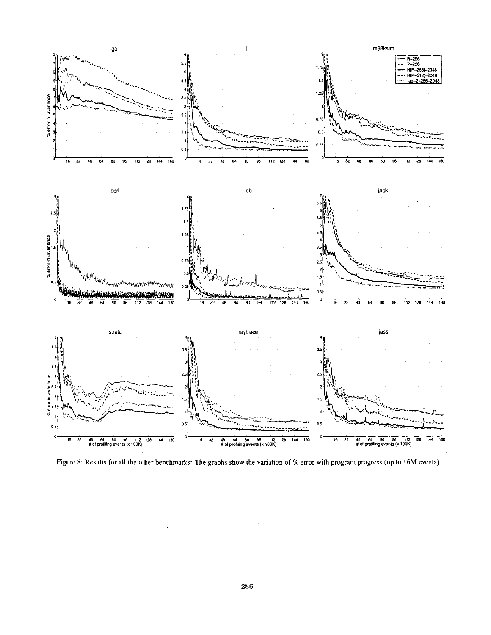

Figure 8: Results for all the other benchmarks: The graphs show the variation of % error with program progress (up to 16M events).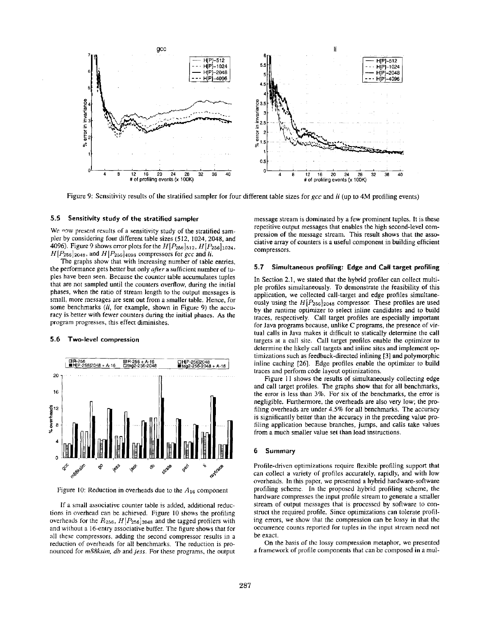

Figure 9: Sensitivity results of the stratified sampler for four different table sizes for gcc and *li* (up to 4M profiling events)

#### $5.5$ Sensitivity study of the stratified sampler

We now present results of a sensitivity study of the stratified sampler by considering four different table sizes (512, 1024, 2048, and 4096). Figure 9 shows error plots for the  $H[P_{256}]_{512}$ ,  $H[P_{256}]_{1024}$ ,  $H[P_{256}]_{2048}$ , and  $H[P_{256}]_{4096}$  compressors for *gcc* and *li*.

The graphs show that with increasing number of table entries, the performance gets better but only after a sufficient number of tuples have been seen. Because the counter table accumulates tuples that are not sampled until the counters overflow, during the initial phases, when the ratio of stream length to the output messages is small, more messages are sent out from a smaller table. Hence, for some benchmarks (li, for example, shown in Figure 9) the accuracy is better with fewer counters during the initial phases. As the program progresses, this effect diminishes.

#### 5.6 Two-level compression



Figure 10: Reduction in overheads due to the  $A_{16}$  component

If a small associative counter table is added, additional reductions in overhead can be achieved. Figure 10 shows the profiling overheads for the  $R_{256}$ ,  $H[P_{256}]_{2048}$  and the tagged profilers with and without a 16-entry associative buffer. The figure shows that for all these compressors, adding the second compressor results in a reduction of overheads for all benchmarks. The reduction is pronounced for m88ksim, db and jess. For these programs, the output message stream is dominated by a few prominent tuples. It is these repetitive output messages that enables the high second-level compression of the message stream. This result shows that the associative array of counters is a useful component in building efficient compressors.

#### $5.7$ Simultaneous profiling: Edge and Call target profiling

In Section 2.1, we stated that the hybrid profiler can collect multiple profiles simultaneously. To demonstrate the feasibility of this application, we collected call-target and edge profiles simultaneously using the  $H[P<sub>256</sub>]_{2048}$  compressor. These profiles are used by the runtime optimizer to select inline candidates and to build traces, respectively. Call target profiles are especially important for Java programs because, unlike C programs, the presence of virtual calls in Java makes it difficult to statically determine the call targets at a call site. Call target profiles enable the optimizer to determine the likely call targets and inline sites and implement optimizations such as feedback-directed inlining [3] and polymorphic inline caching [26]. Edge profiles enable the optimizer to build traces and perform code layout optimizations.

Figure 11 shows the results of simultaneously collecting edge and call target profiles. The graphs show that for all benchmarks, the error is less than 3%. For six of the benchmarks, the error is negligible. Furthermore, the overheads are also very low; the profiling overheads are under 4.5% for all benchmarks. The accuracy is significantly better than the accuracy in the preceding value profiling application because branches, jumps, and calls take values from a much smaller value set than load instructions.

#### **Summary** 6

Profile-driven optimizations require flexible profiling support that can collect a variety of profiles accurately, rapidly, and with low overheads. In this paper, we presented a hybrid hardware-software profiling scheme. In the proposed hybrid profiling scheme, the hardware compresses the input profile stream to generate a smaller stream of output messages that is processed by software to construct the required profile. Since optimizations can tolerate profiling errors, we show that the compression can be lossy in that the occurrence counts reported for tuples in the input stream need not be exact.

On the basis of the lossy compression metaphor, we presented a framework of profile components that can be composed in a mul-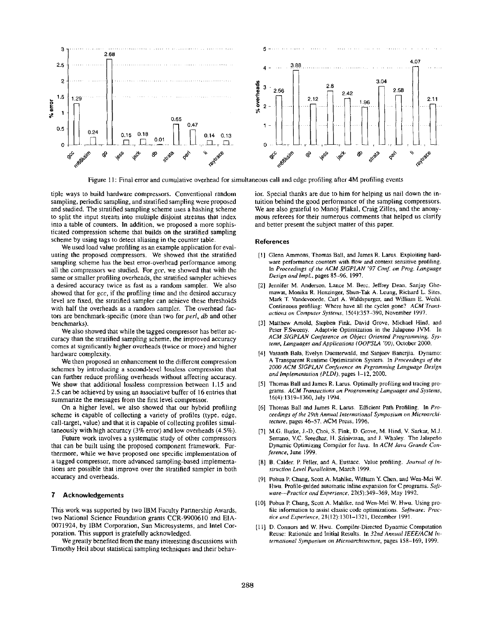

Figure 11: Final error and cumulative overhead for simultaneous call and edge profiling after 4M profiling events

tiple ways to build hardware compressors. Conventional random sampling, periodic sampling, and stratified sampling were proposed and studied. The stratified sampling scheme uses a hashing scheme to split the input stream into multiple disjoint streams that index into a table of counters. In addition, we proposed a more sophisticated compression scheme that builds on the stratified sampling scheme by using tags to detect aliasing in the counter table.

We used load value profiling as an example application for evaluating the proposed compressors. We showed that the stratified sampling scheme has the best error-overhead performance among all the compressors we studied. For *gcc,* we showed that with the same or smaller profiling overheads, the stratified sampler achieves a desired accuracy twice as fast as a random sampler. We also showed that for *gcc,* if the profiling time and the desired accuracy level are fixed, the stratified sampler can achieve these thresholds with half the overheads as a random sampler. The overhead factors are benchmark-specific (more than two for *perl, db* and other benchmarks).

We also showed that while the tagged compressor has better accuracy than the stratified sampling scheme, the improved accuracy comes at significantly higher overheads (twice or more) and higher hardware complexity.

We then proposed an enhancement to the different compression schemes by introducing a second-level lossless compression that can further reduce profiling overheads without affecting accuracy. We show that additional lossless compression between 1.15 and 2.5 can be achieved by using an associative buffer of 16 entries that summarize the messages from the first level compressor.

On a higher level, we also showed that our hybrid profiling scheme is capable of collecting a variety of profiles (type, edge, call-target, value) and that it is capable of collecting profiles simultaneously with high accuracy (3% error) and low overheads (4.5%).

Future work involves a systematic study of other compressors that can be built using the proposed component framework. Furthermore, while we have proposed one specific implementation of a tagged compressor, more advanced sampling-based implementations are possible that improve over the stratified sampler in both accuracy and overheads.

### **7 Acknowledgements**

This work was supported by two IBM Faculty Partnership Awards, two National Science Foundation grants CCR-9900610 and EIA-0071924, by IBM Corporation, Sun Microsystems, and lntel Corporation. This support is gratefully acknowledged.

We greatly benefited from the many interesting discussions with Timothy Heil about statistical sampling techniques and their behavior. Special thanks are due to him for helping us nail down the intuition behind the good performance of the sampling compressors. We are also grateful to Manoj Plakal, Craig Zilles, and the anonymous referees for their numerous comments that helped us clarify and better present the subject matter of this paper.

#### **References**

- [1] Glenn Ammons, Thomas Ball, and James R. Larus. Exploiting hardware performance counters with flow and context sensitive profiling. In *Proceedings of the ACM SIGPLAN '97 Conj. on Prog. Language Design and Impl.,* pages 85-96, 1997.
- [2] Jennifer M. Anderson, Lance M. Berc, Jeffrey Dean, Sanjay Ghemawat, Monika R, Henzinger, Shun-Tak A. Leung, Richard L. Sites, Mark T. Vandevoorde, Carl A. Waldspurger, and William E. Weihl. Continuous profiling: Where have all the cycles gone? *ACM Transactions on Computer Systems,* 15(4):357-390, November 1997.
- [3] Matthew Arnold, Stephen Fink, David Grove, Michael Hind, and Peter F.Sweeny. Adaptvie Optimization in the Jalapeno JVM. In *ACM SIGPLAN Conference on Object Oriented Programming, Systems, Languages and Applications (OOPSLA '00),* October 2000.
- [4] Vasanth Bala, Evelyn Duesterwald, and Sanjeev Banerjia. Dynamo: A Transparent Runtime Optimization System. In *Proceedings of the 2000 ACM SIGPLAN Conference on Prgramming Language Design and Implementation (PLDI),* pages 1-12, 2000.
- [5] Thomas Ball and James R. Larus. Optimally profiling and tracing programs. *ACM Transactions on Programming Languages and Systems,*  16(4):1319-1360, July 1994.
- [6] Thomas Ball and James R. Larus. Efficient Path Profiling. In *Proceedings of the 29th Annual International Symposium on Microarchitecture,* pages 46-57. ACM Press, 1996.
- [7] M.G. Burke, J.-D. Choi, S. Fink, D. Grove, M. Hind, V. Sarkar, M.J. Serrano, V.C. Sreedhar, H. Srinivasan, and J. Whaley. The Jalapefio Dynamic Optimizing Compiler for Java. In *ACM Java Grande Conference,* June 1999.
- [8] B. Calder, P. Feller, and A. Eustace. Value profiling. *Journal of Instruction Level Parallelism,* March 1999.
- Pohua P. Chang, Scott A. Mahlke, William Y. Chen, and Wen-Mei W. Hwu. Profile-guided automatic inline expansion for C programs. Soft*ware--Practice and Experience,* 22(5):349-369, May 1992.
- [10] Pohua P. Chang, Scott A. Mahlke, and Wen-Mei W. Hwu. Using profile information to assist classic code optimizations. Software: Prac*tice and Experience,* 21(12):1301-1321, December 1991.
- [11] D. Connors and W. Hwu. Compiler-Directed Dynamic Computation Reuse: Rationale and Initial Results. In *32nd Annual IEEE/ACM International Symposium on Microarchitectare,* pages 158-169, 1999.